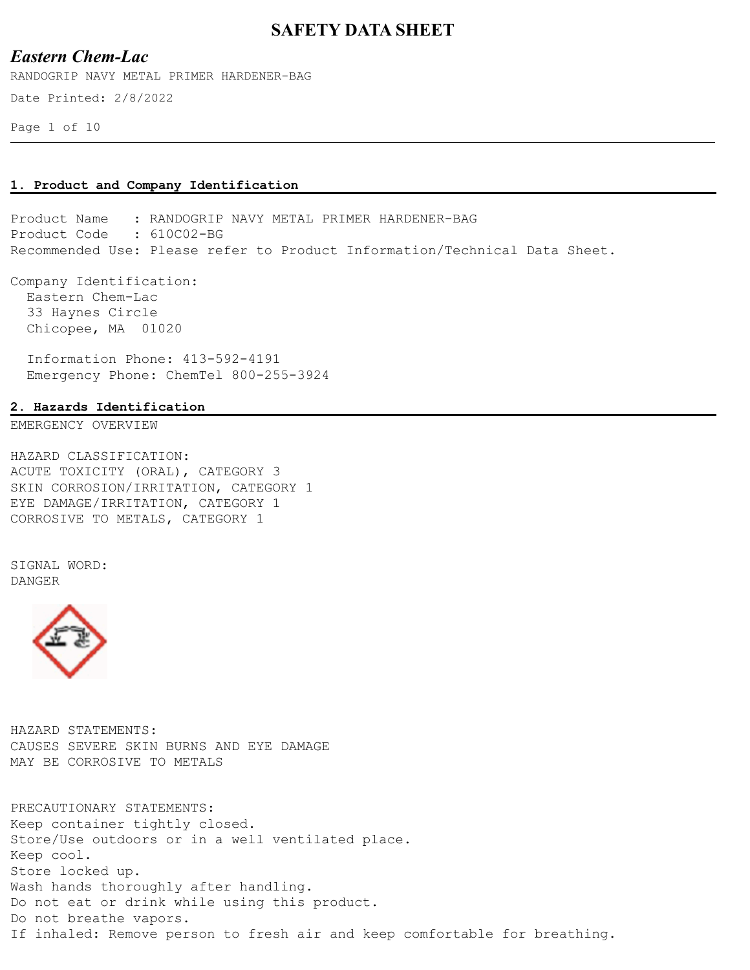## *Eastern Chem-Lac*

RANDOGRIP NAVY METAL PRIMER HARDENER-BAG

Date Printed: 2/8/2022

Page 1 of 10

#### **1. Product and Company Identification**

Product Name : RANDOGRIP NAVY METAL PRIMER HARDENER-BAG Product Code : 610C02-BG Recommended Use: Please refer to Product Information/Technical Data Sheet.

Company Identification: Eastern Chem-Lac 33 Haynes Circle Chicopee, MA 01020

 Information Phone: 413-592-4191 Emergency Phone: ChemTel 800-255-3924

#### **2. Hazards Identification**

EMERGENCY OVERVIEW

HAZARD CLASSIFICATION: ACUTE TOXICITY (ORAL), CATEGORY 3 SKIN CORROSION/IRRITATION, CATEGORY 1 EYE DAMAGE/IRRITATION, CATEGORY 1 CORROSIVE TO METALS, CATEGORY 1

SIGNAL WORD: DANGER



HAZARD STATEMENTS: CAUSES SEVERE SKIN BURNS AND EYE DAMAGE MAY BE CORROSIVE TO METALS

PRECAUTIONARY STATEMENTS: Keep container tightly closed. Store/Use outdoors or in a well ventilated place. Keep cool. Store locked up. Wash hands thoroughly after handling. Do not eat or drink while using this product. Do not breathe vapors. If inhaled: Remove person to fresh air and keep comfortable for breathing.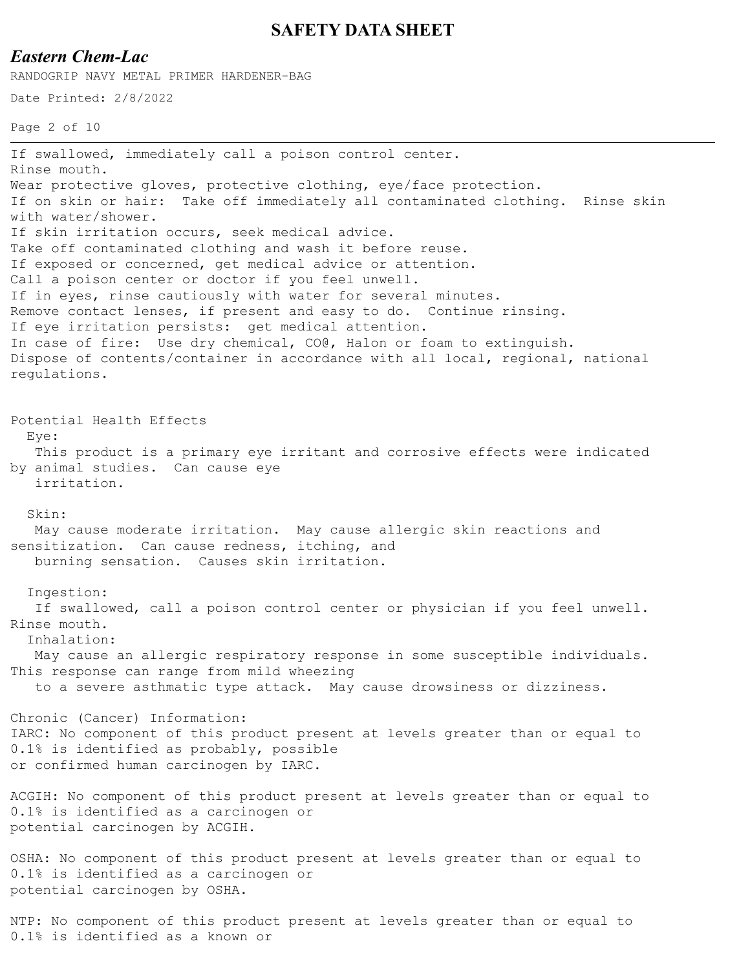## *Eastern Chem-Lac*

RANDOGRIP NAVY METAL PRIMER HARDENER-BAG

Date Printed: 2/8/2022

Page 2 of 10

If swallowed, immediately call a poison control center. Rinse mouth. Wear protective gloves, protective clothing, eye/face protection. If on skin or hair: Take off immediately all contaminated clothing. Rinse skin with water/shower. If skin irritation occurs, seek medical advice. Take off contaminated clothing and wash it before reuse. If exposed or concerned, get medical advice or attention. Call a poison center or doctor if you feel unwell. If in eyes, rinse cautiously with water for several minutes. Remove contact lenses, if present and easy to do. Continue rinsing. If eye irritation persists: get medical attention. In case of fire: Use dry chemical, CO@, Halon or foam to extinguish. Dispose of contents/container in accordance with all local, regional, national regulations. Potential Health Effects Eye: This product is a primary eye irritant and corrosive effects were indicated by animal studies. Can cause eye irritation. Skin: May cause moderate irritation. May cause allergic skin reactions and sensitization. Can cause redness, itching, and burning sensation. Causes skin irritation. Ingestion: If swallowed, call a poison control center or physician if you feel unwell. Rinse mouth. Inhalation: May cause an allergic respiratory response in some susceptible individuals. This response can range from mild wheezing to a severe asthmatic type attack. May cause drowsiness or dizziness. Chronic (Cancer) Information: IARC: No component of this product present at levels greater than or equal to 0.1% is identified as probably, possible or confirmed human carcinogen by IARC. ACGIH: No component of this product present at levels greater than or equal to 0.1% is identified as a carcinogen or potential carcinogen by ACGIH. OSHA: No component of this product present at levels greater than or equal to 0.1% is identified as a carcinogen or potential carcinogen by OSHA.

NTP: No component of this product present at levels greater than or equal to 0.1% is identified as a known or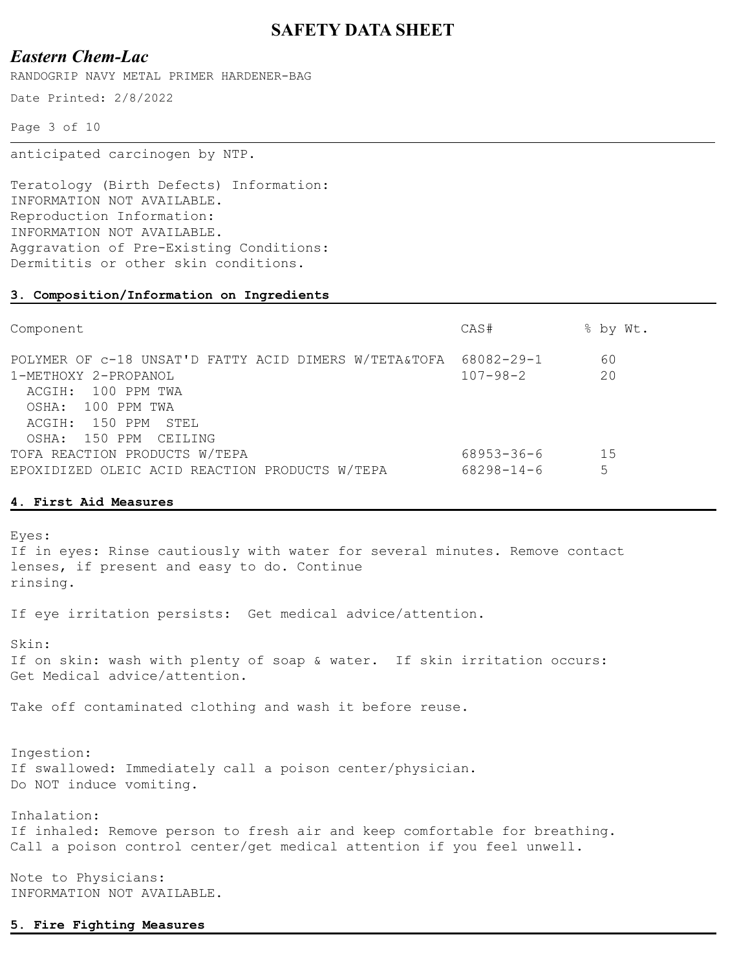## *Eastern Chem-Lac*

RANDOGRIP NAVY METAL PRIMER HARDENER-BAG

Date Printed: 2/8/2022

Page 3 of 10

anticipated carcinogen by NTP.

Teratology (Birth Defects) Information: INFORMATION NOT AVAILABLE. Reproduction Information: INFORMATION NOT AVAILABLE. Aggravation of Pre-Existing Conditions: Dermititis or other skin conditions.

#### **3. Composition/Information on Ingredients**

| Component                                                                                                                                                                | CAS#                         | % by Wt.  |
|--------------------------------------------------------------------------------------------------------------------------------------------------------------------------|------------------------------|-----------|
| POLYMER OF c-18 UNSAT'D FATTY ACID DIMERS W/TETA&TOFA<br>1-METHOXY 2-PROPANOL<br>ACGIH: 100 PPM TWA<br>OSHA: 100 PPM TWA<br>ACGIH: 150 PPM STEL<br>OSHA: 150 PPM CEILING | 68082-29-1<br>$107 - 98 - 2$ | 60<br>20  |
| TOFA REACTION PRODUCTS W/TEPA<br>EPOXIDIZED OLEIC ACID REACTION PRODUCTS W/TEPA                                                                                          | 68953-36-6<br>68298-14-6     | - 15<br>5 |

#### **4. First Aid Measures**

Eyes: If in eyes: Rinse cautiously with water for several minutes. Remove contact lenses, if present and easy to do. Continue rinsing. If eye irritation persists: Get medical advice/attention. Skin: If on skin: wash with plenty of soap & water. If skin irritation occurs: Get Medical advice/attention. Take off contaminated clothing and wash it before reuse. Ingestion: If swallowed: Immediately call a poison center/physician. Do NOT induce vomiting. Inhalation: If inhaled: Remove person to fresh air and keep comfortable for breathing. Call a poison control center/get medical attention if you feel unwell. Note to Physicians:

INFORMATION NOT AVAILABLE.

#### **5. Fire Fighting Measures**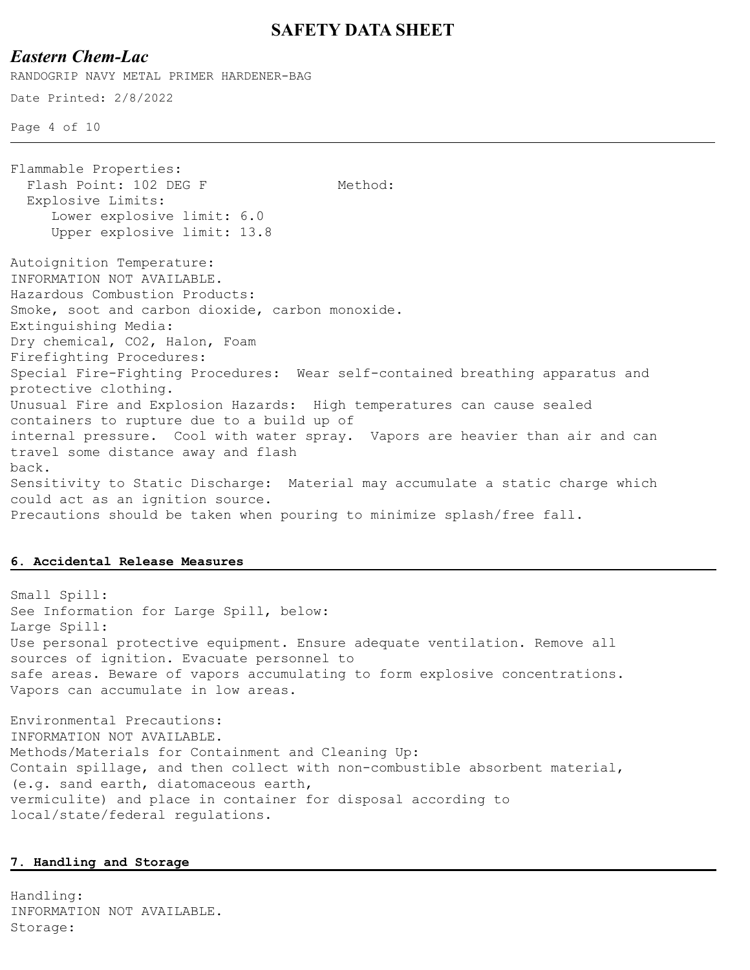### *Eastern Chem-Lac*

Date Printed: 2/8/2022 Page 4 of 10 RANDOGRIP NAVY METAL PRIMER HARDENER-BAG Flammable Properties: Flash Point: 102 DEG F Method: Explosive Limits: Lower explosive limit: 6.0 Upper explosive limit: 13.8 Autoignition Temperature: INFORMATION NOT AVAILABLE. Hazardous Combustion Products: Smoke, soot and carbon dioxide, carbon monoxide. Extinguishing Media: Dry chemical, CO2, Halon, Foam Firefighting Procedures: Special Fire-Fighting Procedures: Wear self-contained breathing apparatus and protective clothing. Unusual Fire and Explosion Hazards: High temperatures can cause sealed containers to rupture due to a build up of internal pressure. Cool with water spray. Vapors are heavier than air and can travel some distance away and flash back. Sensitivity to Static Discharge: Material may accumulate a static charge which could act as an ignition source. Precautions should be taken when pouring to minimize splash/free fall.

#### **6. Accidental Release Measures**

Small Spill: See Information for Large Spill, below: Large Spill: Use personal protective equipment. Ensure adequate ventilation. Remove all sources of ignition. Evacuate personnel to safe areas. Beware of vapors accumulating to form explosive concentrations. Vapors can accumulate in low areas.

Environmental Precautions: INFORMATION NOT AVAILABLE. Methods/Materials for Containment and Cleaning Up: Contain spillage, and then collect with non-combustible absorbent material, (e.g. sand earth, diatomaceous earth, vermiculite) and place in container for disposal according to local/state/federal regulations.

#### **7. Handling and Storage**

Handling: INFORMATION NOT AVAILABLE. Storage: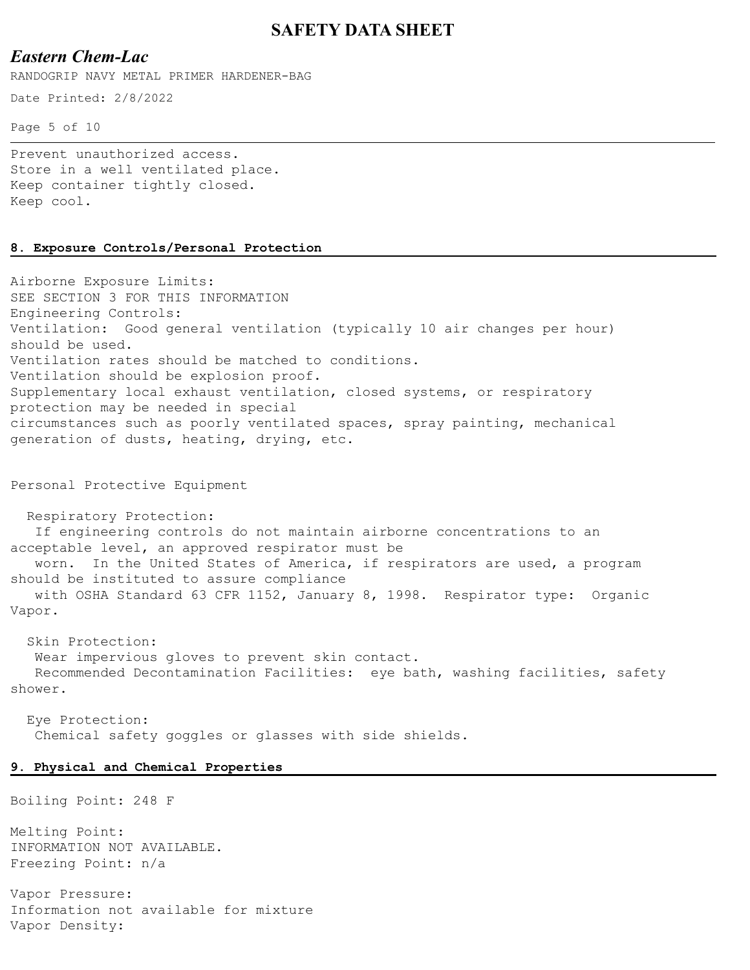## *Eastern Chem-Lac*

RANDOGRIP NAVY METAL PRIMER HARDENER-BAG

Date Printed: 2/8/2022

Page 5 of 10

Prevent unauthorized access. Store in a well ventilated place. Keep container tightly closed. Keep cool.

#### **8. Exposure Controls/Personal Protection**

Airborne Exposure Limits: SEE SECTION 3 FOR THIS INFORMATION Engineering Controls: Ventilation: Good general ventilation (typically 10 air changes per hour) should be used. Ventilation rates should be matched to conditions. Ventilation should be explosion proof. Supplementary local exhaust ventilation, closed systems, or respiratory protection may be needed in special circumstances such as poorly ventilated spaces, spray painting, mechanical generation of dusts, heating, drying, etc.

Personal Protective Equipment

 Respiratory Protection: If engineering controls do not maintain airborne concentrations to an acceptable level, an approved respirator must be worn. In the United States of America, if respirators are used, a program should be instituted to assure compliance with OSHA Standard 63 CFR 1152, January 8, 1998. Respirator type: Organic Vapor.

 Skin Protection: Wear impervious gloves to prevent skin contact. Recommended Decontamination Facilities: eye bath, washing facilities, safety shower.

 Eye Protection: Chemical safety goggles or glasses with side shields.

#### **9. Physical and Chemical Properties**

Boiling Point: 248 F

Melting Point: INFORMATION NOT AVAILABLE. Freezing Point: n/a

Vapor Pressure: Information not available for mixture Vapor Density: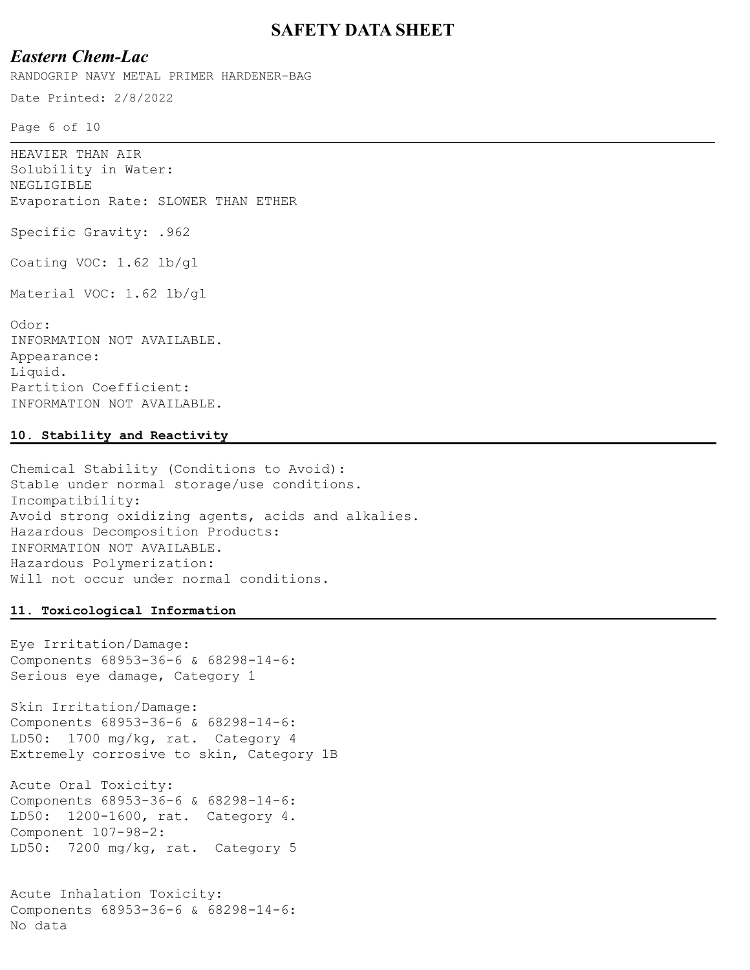### *Eastern Chem-Lac*

RANDOGRIP NAVY METAL PRIMER HARDENER-BAG

Date Printed: 2/8/2022

Page 6 of 10

HEAVIER THAN AIR Solubility in Water: NEGLIGIBLE Evaporation Rate: SLOWER THAN ETHER Specific Gravity: .962 Coating VOC: 1.62 lb/gl Material VOC: 1.62 lb/gl Odor: INFORMATION NOT AVAILABLE. Appearance:

Liquid. Partition Coefficient: INFORMATION NOT AVAILABLE.

#### **10. Stability and Reactivity**

Chemical Stability (Conditions to Avoid): Stable under normal storage/use conditions. Incompatibility: Avoid strong oxidizing agents, acids and alkalies. Hazardous Decomposition Products: INFORMATION NOT AVAILABLE. Hazardous Polymerization: Will not occur under normal conditions.

#### **11. Toxicological Information**

Eye Irritation/Damage: Components 68953-36-6 & 68298-14-6: Serious eye damage, Category 1

Skin Irritation/Damage: Components 68953-36-6 & 68298-14-6: LD50: 1700 mg/kg, rat. Category 4 Extremely corrosive to skin, Category 1B

Acute Oral Toxicity: Components 68953-36-6 & 68298-14-6: LD50: 1200-1600, rat. Category 4. Component 107-98-2: LD50: 7200 mg/kg, rat. Category 5

Acute Inhalation Toxicity: Components 68953-36-6 & 68298-14-6: No data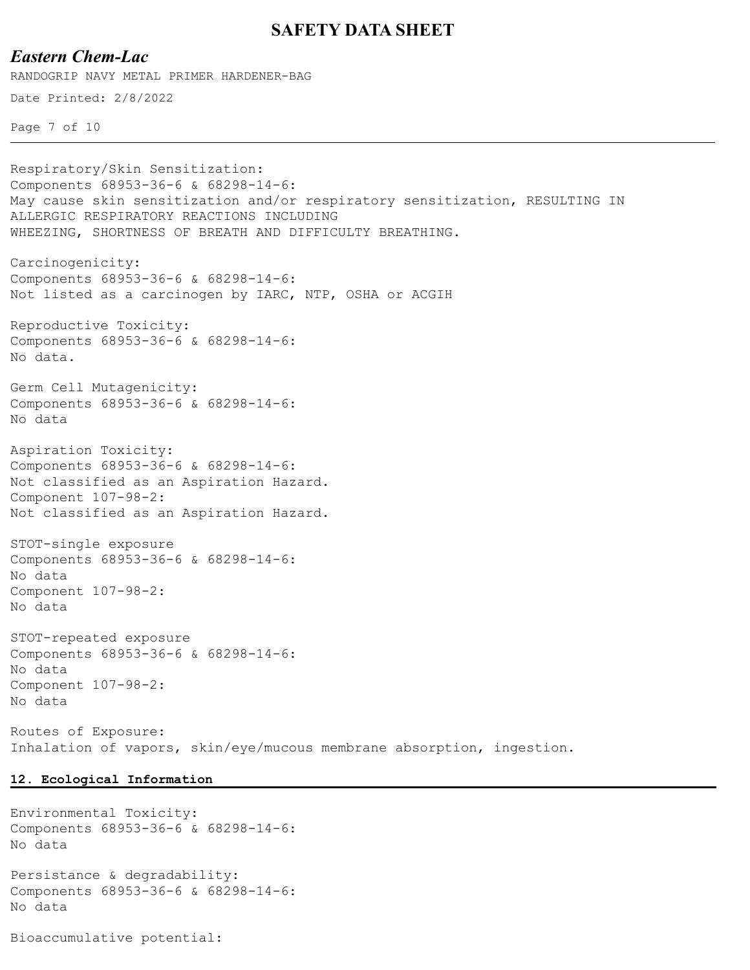### *Eastern Chem-Lac*

RANDOGRIP NAVY METAL PRIMER HARDENER-BAG

Date Printed: 2/8/2022

```
Page 7 of 10
```
Respiratory/Skin Sensitization: Components 68953-36-6 & 68298-14-6: May cause skin sensitization and/or respiratory sensitization, RESULTING IN ALLERGIC RESPIRATORY REACTIONS INCLUDING WHEEZING, SHORTNESS OF BREATH AND DIFFICULTY BREATHING. Carcinogenicity: Components 68953-36-6 & 68298-14-6: Not listed as a carcinogen by IARC, NTP, OSHA or ACGIH Reproductive Toxicity: Components 68953-36-6 & 68298-14-6: No data. Germ Cell Mutagenicity: Components 68953-36-6 & 68298-14-6: No data Aspiration Toxicity: Components 68953-36-6 & 68298-14-6: Not classified as an Aspiration Hazard. Component 107-98-2: Not classified as an Aspiration Hazard. STOT-single exposure Components 68953-36-6 & 68298-14-6: No data Component 107-98-2: No data STOT-repeated exposure Components 68953-36-6 & 68298-14-6: No data Component 107-98-2: No data Routes of Exposure:

Inhalation of vapors, skin/eye/mucous membrane absorption, ingestion.

#### **12. Ecological Information**

Environmental Toxicity: Components 68953-36-6 & 68298-14-6: No data

Persistance & degradability: Components 68953-36-6 & 68298-14-6: No data

Bioaccumulative potential: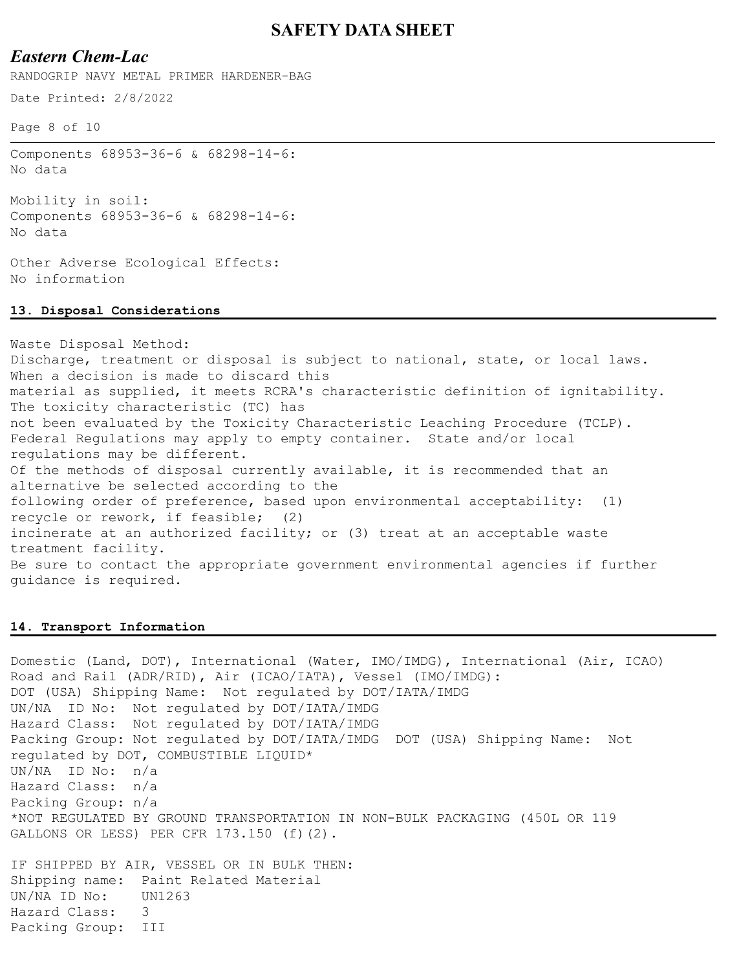## *Eastern Chem-Lac*

RANDOGRIP NAVY METAL PRIMER HARDENER-BAG

Date Printed: 2/8/2022

Page 8 of 10

Components 68953-36-6 & 68298-14-6: No data

Mobility in soil: Components 68953-36-6 & 68298-14-6: No data

Other Adverse Ecological Effects: No information

#### **13. Disposal Considerations**

Waste Disposal Method: Discharge, treatment or disposal is subject to national, state, or local laws. When a decision is made to discard this material as supplied, it meets RCRA's characteristic definition of ignitability. The toxicity characteristic (TC) has not been evaluated by the Toxicity Characteristic Leaching Procedure (TCLP). Federal Regulations may apply to empty container. State and/or local regulations may be different. Of the methods of disposal currently available, it is recommended that an alternative be selected according to the following order of preference, based upon environmental acceptability: (1) recycle or rework, if feasible; (2) incinerate at an authorized facility; or (3) treat at an acceptable waste treatment facility. Be sure to contact the appropriate government environmental agencies if further guidance is required.

#### **14. Transport Information**

Domestic (Land, DOT), International (Water, IMO/IMDG), International (Air, ICAO) Road and Rail (ADR/RID), Air (ICAO/IATA), Vessel (IMO/IMDG): DOT (USA) Shipping Name: Not regulated by DOT/IATA/IMDG UN/NA ID No: Not regulated by DOT/IATA/IMDG Hazard Class: Not regulated by DOT/IATA/IMDG Packing Group: Not regulated by DOT/IATA/IMDG DOT (USA) Shipping Name: Not regulated by DOT, COMBUSTIBLE LIQUID\* UN/NA ID No: n/a Hazard Class: n/a Packing Group: n/a \*NOT REGULATED BY GROUND TRANSPORTATION IN NON-BULK PACKAGING (450L OR 119 GALLONS OR LESS) PER CFR 173.150 (f)(2). IF SHIPPED BY AIR, VESSEL OR IN BULK THEN: Shipping name: Paint Related Material

UN/NA ID No: UN1263 Hazard Class: 3

Packing Group: III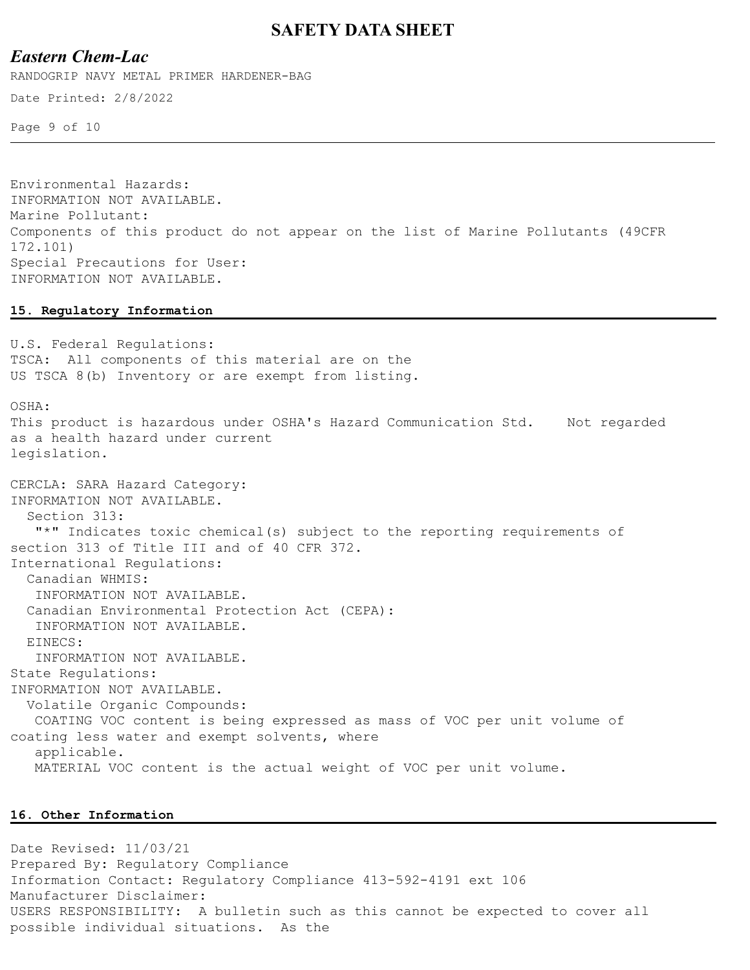### *Eastern Chem-Lac*

RANDOGRIP NAVY METAL PRIMER HARDENER-BAG

Date Printed: 2/8/2022

Page 9 of 10

Environmental Hazards: INFORMATION NOT AVAILABLE. Marine Pollutant: Components of this product do not appear on the list of Marine Pollutants (49CFR 172.101) Special Precautions for User: INFORMATION NOT AVAILABLE.

#### **15. Regulatory Information**

U.S. Federal Regulations: TSCA: All components of this material are on the US TSCA 8(b) Inventory or are exempt from listing. OSHA: This product is hazardous under OSHA's Hazard Communication Std. Not regarded as a health hazard under current legislation. CERCLA: SARA Hazard Category: INFORMATION NOT AVAILABLE. Section 313: "\*" Indicates toxic chemical(s) subject to the reporting requirements of section 313 of Title III and of 40 CFR 372. International Regulations: Canadian WHMIS: INFORMATION NOT AVAILABLE. Canadian Environmental Protection Act (CEPA): INFORMATION NOT AVAILABLE. EINECS: INFORMATION NOT AVAILABLE. State Regulations: INFORMATION NOT AVAILABLE. Volatile Organic Compounds: COATING VOC content is being expressed as mass of VOC per unit volume of coating less water and exempt solvents, where applicable. MATERIAL VOC content is the actual weight of VOC per unit volume.

#### **16. Other Information**

Date Revised: 11/03/21 Prepared By: Regulatory Compliance Information Contact: Regulatory Compliance 413-592-4191 ext 106 Manufacturer Disclaimer: USERS RESPONSIBILITY: A bulletin such as this cannot be expected to cover all possible individual situations. As the